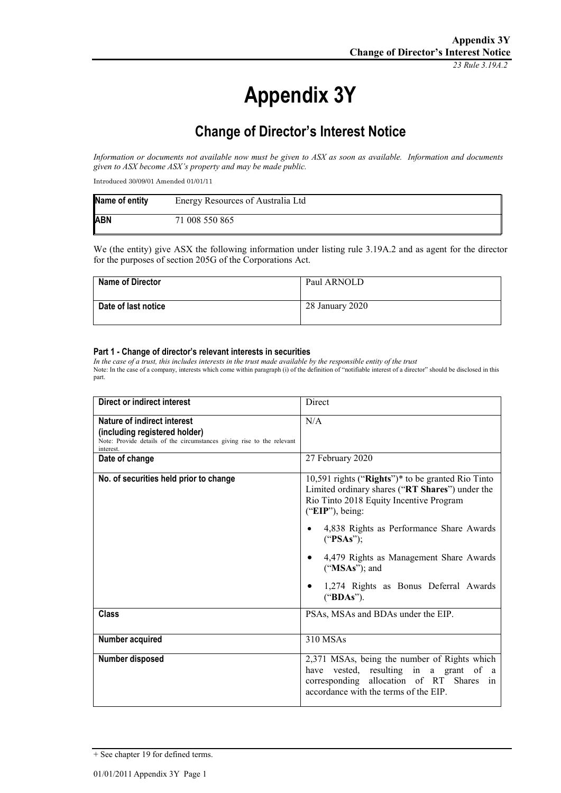*23 Rule 3.19A.2*

# **Appendix 3Y**

# **Change of Director's Interest Notice**

*Information or documents not available now must be given to ASX as soon as available. Information and documents given to ASX become ASX's property and may be made public.*

Introduced 30/09/01 Amended 01/01/11

| Name of entity | Energy Resources of Australia Ltd |
|----------------|-----------------------------------|
| <b>ABN</b>     | 71 008 550 865                    |

We (the entity) give ASX the following information under listing rule 3.19A.2 and as agent for the director for the purposes of section 205G of the Corporations Act.

| <b>Name of Director</b> | Paul ARNOLD     |
|-------------------------|-----------------|
| Date of last notice     | 28 January 2020 |

#### **Part 1 - Change of director's relevant interests in securities**

*In the case of a trust, this includes interests in the trust made available by the responsible entity of the trust* Note: In the case of a company, interests which come within paragraph (i) of the definition of "notifiable interest of a director" should be disclosed in this part.

| Direct or indirect interest                                                                                                                         | Direct                                                                                                                                                                      |
|-----------------------------------------------------------------------------------------------------------------------------------------------------|-----------------------------------------------------------------------------------------------------------------------------------------------------------------------------|
| Nature of indirect interest<br>(including registered holder)<br>Note: Provide details of the circumstances giving rise to the relevant<br>interest. | N/A                                                                                                                                                                         |
| Date of change                                                                                                                                      | 27 February 2020                                                                                                                                                            |
| No. of securities held prior to change                                                                                                              | 10,591 rights ("Rights")* to be granted Rio Tinto<br>Limited ordinary shares ("RT Shares") under the<br>Rio Tinto 2018 Equity Incentive Program<br>("EIP"), being:          |
|                                                                                                                                                     | 4,838 Rights as Performance Share Awards<br>("PSAs");                                                                                                                       |
|                                                                                                                                                     | 4,479 Rights as Management Share Awards<br>("MSAs"); and                                                                                                                    |
|                                                                                                                                                     | 1,274 Rights as Bonus Deferral Awards<br>("BDAs").                                                                                                                          |
| <b>Class</b>                                                                                                                                        | PSAs, MSAs and BDAs under the EIP.                                                                                                                                          |
| Number acquired                                                                                                                                     | 310 MSAs                                                                                                                                                                    |
| Number disposed                                                                                                                                     | 2,371 MSAs, being the number of Rights which<br>have vested, resulting in a grant of a<br>corresponding allocation of RT Shares in<br>accordance with the terms of the EIP. |

<sup>+</sup> See chapter 19 for defined terms.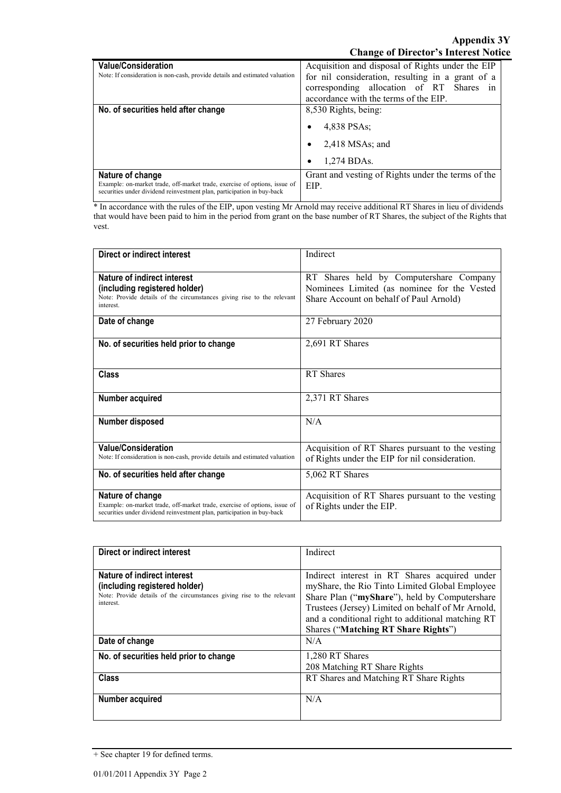**Appendix 3Y Change of Director's Interest Notice**

|                                                                                                                                                     | -                                                                                                                                                      |
|-----------------------------------------------------------------------------------------------------------------------------------------------------|--------------------------------------------------------------------------------------------------------------------------------------------------------|
| <b>Value/Consideration</b><br>Note: If consideration is non-cash, provide details and estimated valuation                                           | Acquisition and disposal of Rights under the EIP<br>for nil consideration, resulting in a grant of a<br>corresponding allocation of RT<br>Shares<br>1n |
|                                                                                                                                                     | accordance with the terms of the EIP.                                                                                                                  |
| No. of securities held after change                                                                                                                 | 8,530 Rights, being:                                                                                                                                   |
|                                                                                                                                                     | 4,838 PSAs:                                                                                                                                            |
|                                                                                                                                                     | $2,418$ MSAs; and                                                                                                                                      |
|                                                                                                                                                     | 1,274 BDAs.                                                                                                                                            |
| Nature of change                                                                                                                                    | Grant and vesting of Rights under the terms of the                                                                                                     |
| Example: on-market trade, off-market trade, exercise of options, issue of<br>securities under dividend reinvestment plan, participation in buy-back | EIP.                                                                                                                                                   |

\* In accordance with the rules of the EIP, upon vesting Mr Arnold may receive additional RT Shares in lieu of dividends that would have been paid to him in the period from grant on the base number of RT Shares, the subject of the Rights that vest.

| Direct or indirect interest                                                                                                                         | Indirect                                         |
|-----------------------------------------------------------------------------------------------------------------------------------------------------|--------------------------------------------------|
|                                                                                                                                                     |                                                  |
| Nature of indirect interest                                                                                                                         | RT Shares held by Computershare Company          |
| (including registered holder)                                                                                                                       | Nominees Limited (as nominee for the Vested      |
| Note: Provide details of the circumstances giving rise to the relevant<br>interest.                                                                 | Share Account on behalf of Paul Arnold)          |
| Date of change                                                                                                                                      | 27 February 2020                                 |
| No. of securities held prior to change                                                                                                              | 2,691 RT Shares                                  |
| <b>Class</b>                                                                                                                                        | RT Shares                                        |
| Number acquired                                                                                                                                     | 2,371 RT Shares                                  |
| Number disposed                                                                                                                                     | N/A                                              |
| <b>Value/Consideration</b>                                                                                                                          | Acquisition of RT Shares pursuant to the vesting |
| Note: If consideration is non-cash, provide details and estimated valuation                                                                         | of Rights under the EIP for nil consideration.   |
| No. of securities held after change                                                                                                                 | 5,062 RT Shares                                  |
| Nature of change                                                                                                                                    | Acquisition of RT Shares pursuant to the vesting |
| Example: on-market trade, off-market trade, exercise of options, issue of<br>securities under dividend reinvestment plan, participation in buy-back | of Rights under the EIP.                         |

| Direct or indirect interest                                            | Indirect                                          |
|------------------------------------------------------------------------|---------------------------------------------------|
|                                                                        |                                                   |
| Nature of indirect interest                                            | Indirect interest in RT Shares acquired under     |
| (including registered holder)                                          | myShare, the Rio Tinto Limited Global Employee    |
| Note: Provide details of the circumstances giving rise to the relevant | Share Plan ("myShare"), held by Computershare     |
| interest.                                                              | Trustees (Jersey) Limited on behalf of Mr Arnold, |
|                                                                        | and a conditional right to additional matching RT |
|                                                                        | <b>Shares ("Matching RT Share Rights")</b>        |
| Date of change                                                         | N/A                                               |
| No. of securities held prior to change                                 | 1,280 RT Shares                                   |
|                                                                        | 208 Matching RT Share Rights                      |
| <b>Class</b>                                                           | RT Shares and Matching RT Share Rights            |
|                                                                        |                                                   |
| Number acquired                                                        | N/A                                               |
|                                                                        |                                                   |

<sup>+</sup> See chapter 19 for defined terms.